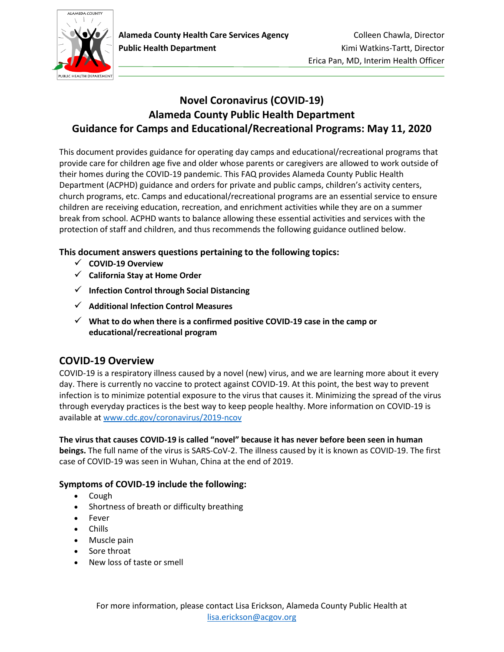

# **Novel Coronavirus (COVID-19) Alameda County Public Health Department Guidance for Camps and Educational/Recreational Programs: May 11, 2020**

This document provides guidance for operating day camps and educational/recreational programs that provide care for children age five and older whose parents or caregivers are allowed to work outside of their homes during the COVID-19 pandemic. This FAQ provides Alameda County Public Health Department (ACPHD) guidance and orders for private and public camps, children's activity centers, church programs, etc. Camps and educational/recreational programs are an essential service to ensure children are receiving education, recreation, and enrichment activities while they are on a summer break from school. ACPHD wants to balance allowing these essential activities and services with the protection of staff and children, and thus recommends the following guidance outlined below.

### **This document answers questions pertaining to the following topics:**

- ✓ **[COVID-19 Overview](#page-0-0)**
- ✓ **[California Stay at Home Order](#page-1-0)**
- ✓ **[Infection Control through Social Distancing](#page-3-0)**
- ✓ **[Additional Infection Control Measures](#page-4-0)**
- ✓ **[What to do when there is a confirmed positive COVID-19 case in the camp or](#page-7-0)  [educational/recreational program](#page-7-0)**

## <span id="page-0-0"></span>**COVID-19 Overview**

COVID-19 is a respiratory illness caused by a novel (new) virus, and we are learning more about it every day. There is currently no vaccine to protect against COVID-19. At this point, the best way to prevent infection is to minimize potential exposure to the virus that causes it. Minimizing the spread of the virus through everyday practices is the best way to keep people healthy. More information on COVID-19 is available a[t www.cdc.gov/coronavirus/2019-ncov](http://www.cdc.gov/coronavirus/2019-ncov)

**The virus that causes COVID-19 is called "novel" because it has never before been seen in human beings.** The full name of the virus is SARS-CoV-2. The illness caused by it is known as COVID-19. The first case of COVID-19 was seen in Wuhan, China at the end of 2019.

### **Symptoms of COVID-19 include the following:**

- Cough
- Shortness of breath or difficulty breathing
- Fever
- Chills
- Muscle pain
- Sore throat
- New loss of taste or smell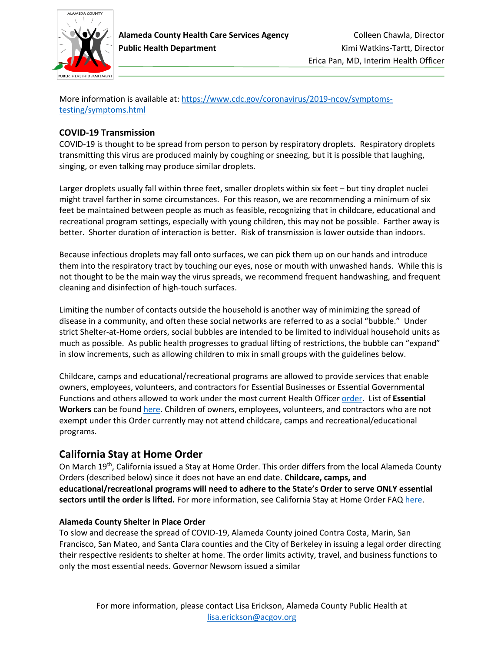

More information is available at[: https://www.cdc.gov/coronavirus/2019-ncov/symptoms](https://www.cdc.gov/coronavirus/2019-ncov/symptoms-testing/symptoms.html)[testing/symptoms.html](https://www.cdc.gov/coronavirus/2019-ncov/symptoms-testing/symptoms.html)

#### **COVID-19 Transmission**

COVID-19 is thought to be spread from person to person by respiratory droplets. Respiratory droplets transmitting this virus are produced mainly by coughing or sneezing, but it is possible that laughing, singing, or even talking may produce similar droplets.

Larger droplets usually fall within three feet, smaller droplets within six feet – but tiny droplet nuclei might travel farther in some circumstances. For this reason, we are recommending a minimum of six feet be maintained between people as much as feasible, recognizing that in childcare, educational and recreational program settings, especially with young children, this may not be possible. Farther away is better. Shorter duration of interaction is better. Risk of transmission is lower outside than indoors.

Because infectious droplets may fall onto surfaces, we can pick them up on our hands and introduce them into the respiratory tract by touching our eyes, nose or mouth with unwashed hands. While this is not thought to be the main way the virus spreads, we recommend frequent handwashing, and frequent cleaning and disinfection of high-touch surfaces.

Limiting the number of contacts outside the household is another way of minimizing the spread of disease in a community, and often these social networks are referred to as a social "bubble." Under strict Shelter-at-Home orders, social bubbles are intended to be limited to individual household units as much as possible. As public health progresses to gradual lifting of restrictions, the bubble can "expand" in slow increments, such as allowing children to mix in small groups with the guidelines below.

Childcare, camps and educational/recreational programs are allowed to provide services that enable owners, employees, volunteers, and contractors for Essential Businesses or Essential Governmental Functions and others allowed to work under the most current Health Officer [order.](https://covid-19.acgov.org/index.page) List of **Essential Workers** can be found [here.](https://covid19.ca.gov/img/EssentialCriticalInfrastructureWorkers.pdf) Children of owners, employees, volunteers, and contractors who are not exempt under this Order currently may not attend childcare, camps and recreational/educational programs.

## <span id="page-1-0"></span>**California Stay at Home Order**

On March 19th, California issued a Stay at Home Order. This order differs from the local Alameda County Orders (described below) since it does not have an end date. **Childcare, camps, and educational/recreational programs will need to adhere to the State's Order to serve ONLY essential sectors until the order is lifted.** For more information, see California Stay at Home Order FAQ [here.](https://covid19.ca.gov/stay-home-except-for-essential-needs/)

#### **Alameda County Shelter in Place Order**

To slow and decrease the spread of COVID-19, Alameda County joined Contra Costa, Marin, San Francisco, San Mateo, and Santa Clara counties and the City of Berkeley in issuing a legal order directing their respective residents to shelter at home. The order limits activity, travel, and business functions to only the most essential needs. Governor Newsom issued a similar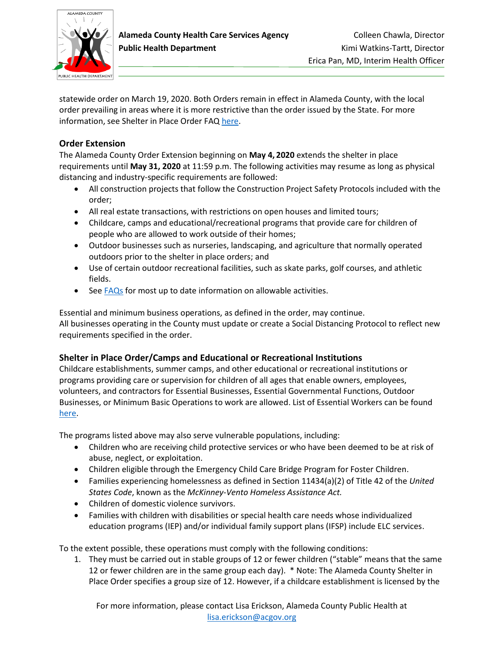

statewide order on March 19, 2020. Both Orders remain in effect in Alameda County, with the local order prevailing in areas where it is more restrictive than the order issued by the State. For more information, see Shelter in Place Order FAQ [here.](http://www.acphd.org/media/572863/health-officer-order-20-10-shelter-in-place-04.29.2020-faq.pdf)

#### **Order Extension**

The Alameda County Order Extension beginning on **May 4, 2020** extends the shelter in place requirements until **May 31, 2020** at 11:59 p.m. The following activities may resume as long as physical distancing and industry-specific requirements are followed:

- All construction projects that follow the Construction Project Safety Protocols included with the order;
- All real estate transactions, with restrictions on open houses and limited tours;
- Childcare, camps and educational/recreational programs that provide care for children of people who are allowed to work outside of their homes;
- Outdoor businesses such as nurseries, landscaping, and agriculture that normally operated outdoors prior to the shelter in place orders; and
- Use of certain outdoor recreational facilities, such as skate parks, golf courses, and athletic fields.
- Se[e FAQs](https://covid-19.acgov.org/index.page) for most up to date information on allowable activities.

Essential and minimum business operations, as defined in the order, may continue. All businesses operating in the County must update or create a Social Distancing Protocol to reflect new requirements specified in the order.

### **Shelter in Place Order/Camps and Educational or Recreational Institutions**

Childcare establishments, summer camps, and other educational or recreational institutions or programs providing care or supervision for children of all ages that enable owners, employees, volunteers, and contractors for Essential Businesses, Essential Governmental Functions, Outdoor Businesses, or Minimum Basic Operations to work are allowed. List of Essential Workers can be found [here.](https://covid19.ca.gov/img/EssentialCriticalInfrastructureWorkers.pdf)

The programs listed above may also serve vulnerable populations, including:

- Children who are receiving child protective services or who have been deemed to be at risk of abuse, neglect, or exploitation.
- Children eligible through the Emergency Child Care Bridge Program for Foster Children.
- Families experiencing homelessness as defined in Section 11434(a)(2) of Title 42 of the *United States Code*, known as the *McKinney-Vento Homeless Assistance Act.*
- Children of domestic violence survivors.
- Families with children with disabilities or special health care needs whose individualized education programs (IEP) and/or individual family support plans (IFSP) include ELC services.

To the extent possible, these operations must comply with the following conditions:

1. They must be carried out in stable groups of 12 or fewer children ("stable" means that the same 12 or fewer children are in the same group each day). \* Note: The Alameda County Shelter in Place Order specifies a group size of 12. However, if a childcare establishment is licensed by the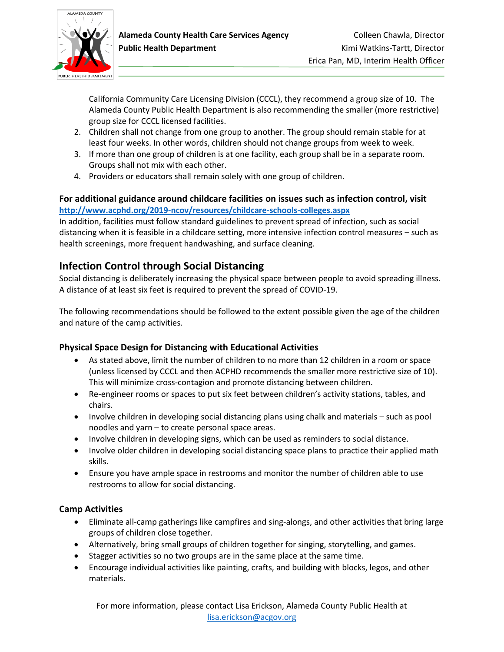

California Community Care Licensing Division (CCCL), they recommend a group size of 10. The Alameda County Public Health Department is also recommending the smaller (more restrictive) group size for CCCL licensed facilities.

- 2. Children shall not change from one group to another. The group should remain stable for at least four weeks. In other words, children should not change groups from week to week.
- 3. If more than one group of children is at one facility, each group shall be in a separate room. Groups shall not mix with each other.
- 4. Providers or educators shall remain solely with one group of children.

### **For additional guidance around childcare facilities on issues such as infection control, visit <http://www.acphd.org/2019-ncov/resources/childcare-schools-colleges.aspx>**

In addition, facilities must follow standard guidelines to prevent spread of infection, such as social distancing when it is feasible in a childcare setting, more intensive infection control measures – such as health screenings, more frequent handwashing, and surface cleaning.

# <span id="page-3-0"></span>**Infection Control through Social Distancing**

Social distancing is deliberately increasing the physical space between people to avoid spreading illness. A distance of at least six feet is required to prevent the spread of COVID-19.

The following recommendations should be followed to the extent possible given the age of the children and nature of the camp activities.

### **Physical Space Design for Distancing with Educational Activities**

- As stated above, limit the number of children to no more than 12 children in a room or space (unless licensed by CCCL and then ACPHD recommends the smaller more restrictive size of 10). This will minimize cross-contagion and promote distancing between children.
- Re-engineer rooms or spaces to put six feet between children's activity stations, tables, and chairs.
- Involve children in developing social distancing plans using chalk and materials such as pool noodles and yarn – to create personal space areas.
- Involve children in developing signs, which can be used as reminders to social distance.
- Involve older children in developing social distancing space plans to practice their applied math skills.
- Ensure you have ample space in restrooms and monitor the number of children able to use restrooms to allow for social distancing.

## **Camp Activities**

- Eliminate all-camp gatherings like campfires and sing-alongs, and other activities that bring large groups of children close together.
- Alternatively, bring small groups of children together for singing, storytelling, and games.
- Stagger activities so no two groups are in the same place at the same time.
- Encourage individual activities like painting, crafts, and building with blocks, legos, and other materials.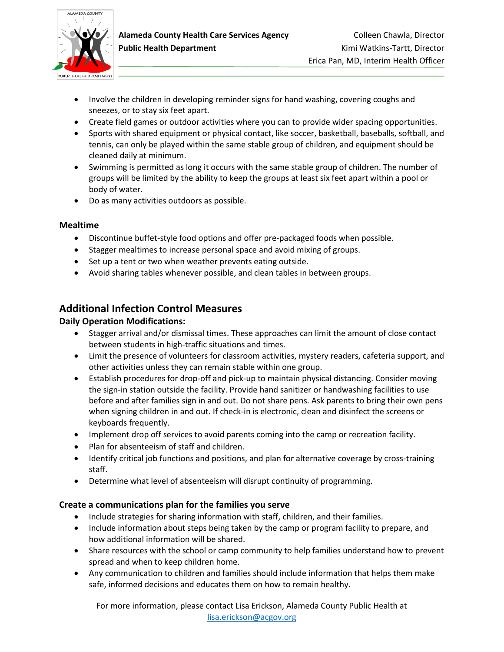

- Involve the children in developing reminder signs for hand washing, covering coughs and sneezes, or to stay six feet apart.
- Create field games or outdoor activities where you can to provide wider spacing opportunities.
- Sports with shared equipment or physical contact, like soccer, basketball, baseballs, softball, and tennis, can only be played within the same stable group of children, and equipment should be cleaned daily at minimum.
- Swimming is permitted as long it occurs with the same stable group of children. The number of groups will be limited by the ability to keep the groups at least six feet apart within a pool or body of water.
- Do as many activities outdoors as possible.

#### **Mealtime**

- Discontinue buffet-style food options and offer pre-packaged foods when possible.
- Stagger mealtimes to increase personal space and avoid mixing of groups.
- Set up a tent or two when weather prevents eating outside.
- Avoid sharing tables whenever possible, and clean tables in between groups.

## <span id="page-4-0"></span>**Additional Infection Control Measures**

#### **Daily Operation Modifications:**

- Stagger arrival and/or dismissal times. These approaches can limit the amount of close contact between students in high-traffic situations and times.
- Limit the presence of volunteers for classroom activities, mystery readers, cafeteria support, and other activities unless they can remain stable within one group.
- Establish procedures for drop-off and pick-up to maintain physical distancing. Consider moving the sign-in station outside the facility. Provide hand sanitizer or handwashing facilities to use before and after families sign in and out. Do not share pens. Ask parents to bring their own pens when signing children in and out. If check-in is electronic, clean and disinfect the screens or keyboards frequently.
- Implement drop off services to avoid parents coming into the camp or recreation facility.
- Plan for absenteeism of staff and children.
- Identify critical job functions and positions, and plan for alternative coverage by cross-training staff.
- Determine what level of absenteeism will disrupt continuity of programming.

#### **Create a communications plan for the families you serve**

- Include strategies for sharing information with staff, children, and their families.
- Include information about steps being taken by the camp or program facility to prepare, and how additional information will be shared.
- Share resources with the school or camp community to help families understand how to prevent spread and when to keep children home.
- Any communication to children and families should include information that helps them make safe, informed decisions and educates them on how to remain healthy.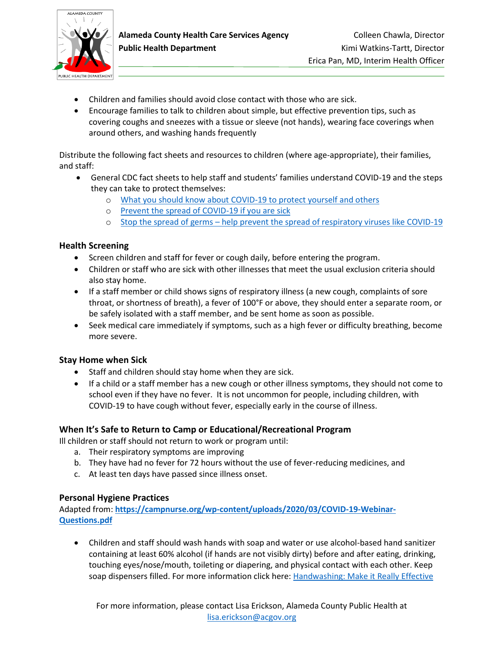

- Children and families should avoid close contact with those who are sick.
- Encourage families to talk to children about simple, but effective prevention tips, such as covering coughs and sneezes with a tissue or sleeve (not hands), wearing face coverings when around others, and washing hands frequently

Distribute the following fact sheets and resources to children (where age-appropriate), their families, and staff:

- General CDC fact sheets to help staff and students' families understand COVID-19 and the steps they can take to protect themselves:
	- o [What you should know about COVID-19 to protect yourself and others](https://www.cdc.gov/coronavirus/2019-ncov/downloads/2019-ncov-factsheet.pdf)
	- o [Prevent the spread of COVID-19 if you are sick](https://www.cdc.gov/coronavirus/2019-ncov/downloads/sick-with-2019-nCoV-fact-sheet.pdf)
	- o Stop the spread of germs [help prevent the spread of respiratory viruses like COVID-19](https://www.cdc.gov/coronavirus/2019-ncov/downloads/stop-the-spread-of-germs.pdf)

#### **Health Screening**

- Screen children and staff for fever or cough daily, before entering the program.
- Children or staff who are sick with other illnesses that meet the usual exclusion criteria should also stay home.
- If a staff member or child shows signs of respiratory illness (a new cough, complaints of sore throat, or shortness of breath), a fever of 100°F or above, they should enter a separate room, or be safely isolated with a staff member, and be sent home as soon as possible.
- Seek medical care immediately if symptoms, such as a high fever or difficulty breathing, become more severe.

#### **Stay Home when Sick**

- Staff and children should stay home when they are sick.
- If a child or a staff member has a new cough or other illness symptoms, they should not come to school even if they have no fever. It is not uncommon for people, including children, with COVID-19 to have cough without fever, especially early in the course of illness.

#### **When It's Safe to Return to Camp or Educational/Recreational Program**

Ill children or staff should not return to work or program until:

- a. Their respiratory symptoms are improving
- b. They have had no fever for 72 hours without the use of fever-reducing medicines, and
- c. At least ten days have passed since illness onset.

#### **Personal Hygiene Practices**

Adapted from: **[https://campnurse.org/wp-content/uploads/2020/03/COVID-19-Webinar-](https://campnurse.org/wp-content/uploads/2020/03/COVID-19-Webinar-Questions.pdf)[Questions.pdf](https://campnurse.org/wp-content/uploads/2020/03/COVID-19-Webinar-Questions.pdf)**

• Children and staff should wash hands with soap and water or use alcohol-based hand sanitizer containing at least 60% alcohol (if hands are not visibly dirty) before and after eating, drinking, touching eyes/nose/mouth, toileting or diapering, and physical contact with each other. Keep soap dispensers filled. For more information click here: [Handwashing: Make it Really Effective](https://www.acacamps.org/news-publications/blogs/camp-connection/handwashing-make-it-really-effective)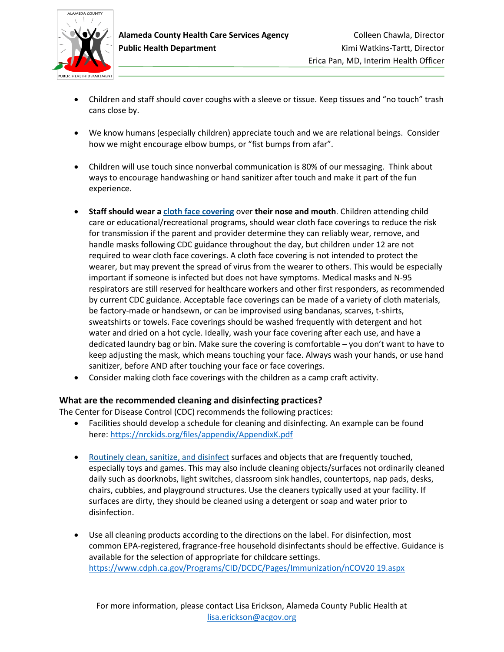

- Children and staff should cover coughs with a sleeve or tissue. Keep tissues and "no touch" trash cans close by.
- We know humans (especially children) appreciate touch and we are relational beings. Consider how we might encourage elbow bumps, or "fist bumps from afar".
- Children will use touch since nonverbal communication is 80% of our messaging. Think about ways to encourage handwashing or hand sanitizer after touch and make it part of the fun experience.
- **Staff should wear [a cloth face covering](https://www.cdc.gov/coronavirus/2019-ncov/prevent-getting-sick/cloth-face-cover.html)** over **their nose and mouth**. Children attending child care or educational/recreational programs, should wear cloth face coverings to reduce the risk for transmission if the parent and provider determine they can reliably wear, remove, and handle masks following CDC guidance throughout the day, but children under 12 are not required to wear cloth face coverings. A cloth face covering is not intended to protect the wearer, but may prevent the spread of virus from the wearer to others. This would be especially important if someone is infected but does not have symptoms. Medical masks and N-95 respirators are still reserved for healthcare workers and other first responders, as recommended by current CDC guidance. Acceptable face coverings can be made of a variety of cloth materials, be factory-made or handsewn, or can be improvised using bandanas, scarves, t-shirts, sweatshirts or towels. Face coverings should be washed frequently with detergent and hot water and dried on a hot cycle. Ideally, wash your face covering after each use, and have a dedicated laundry bag or bin. Make sure the covering is comfortable – you don't want to have to keep adjusting the mask, which means touching your face. Always wash your hands, or use hand sanitizer, before AND after touching your face or face coverings.
- Consider making cloth face coverings with the children as a camp craft activity.

#### **What are the recommended cleaning and disinfecting practices?**

The Center for Disease Control (CDC) recommends the following practices:

- Facilities should develop a schedule for cleaning and disinfecting. An example can be found here:<https://nrckids.org/files/appendix/AppendixK.pdf>
- [Routinely clean, sanitize, and disinfect](https://www.cdc.gov/coronavirus/2019-ncov/prepare/disinfecting-building-facility.html) surfaces and objects that are frequently touched, especially toys and games. This may also include cleaning objects/surfaces not ordinarily cleaned daily such as doorknobs, light switches, classroom sink handles, countertops, nap pads, desks, chairs, cubbies, and playground structures. Use the cleaners typically used at your facility. If surfaces are dirty, they should be cleaned using a detergent or soap and water prior to disinfection.
- Use all cleaning products according to the directions on the label. For disinfection, most common EPA-registered, fragrance-free household disinfectants should be effective. Guidance is available for the selection of appropriate for childcare settings. [https://www.cdph.ca.gov/Programs/CID/DCDC/Pages/Immunization/nCOV20 19.aspx](https://www.cdph.ca.gov/Programs/CID/DCDC/Pages/Immunization/nCOV20%2019.aspx)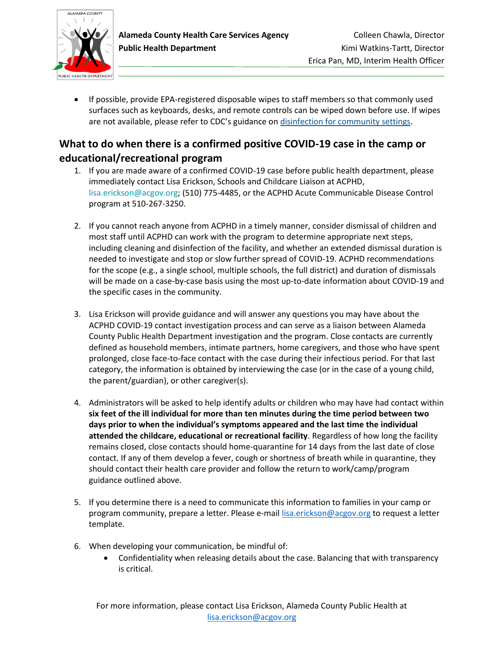

• If possible, provide EPA-registered disposable wipes to staff members so that commonly used surfaces such as keyboards, desks, and remote controls can be wiped down before use. If wipes are not available, please refer to CDC's guidance on [disinfection for community settings.](https://www.cdc.gov/coronavirus/2019-ncov/community/organizations/cleaning-disinfection.html)

# <span id="page-7-0"></span>**What to do when there is a confirmed positive COVID-19 case in the camp or educational/recreational program**

- 1. If you are made aware of a confirmed COVID-19 case before public health department, please immediately contact Lisa Erickson, Schools and Childcare Liaison at ACPHD, lisa.erickson@acgov.org; (510) 775-4485, or the ACPHD Acute Communicable Disease Control program at 510-267-3250.
- 2. If you cannot reach anyone from ACPHD in a timely manner, consider dismissal of children and most staff until ACPHD can work with the program to determine appropriate next steps, including cleaning and disinfection of the facility, and whether an extended dismissal duration is needed to investigate and stop or slow further spread of COVID-19. ACPHD recommendations for the scope (e.g., a single school, multiple schools, the full district) and duration of dismissals will be made on a case-by-case basis using the most up-to-date information about COVID-19 and the specific cases in the community.
- 3. Lisa Erickson will provide guidance and will answer any questions you may have about the ACPHD COVID-19 contact investigation process and can serve as a liaison between Alameda County Public Health Department investigation and the program. Close contacts are currently defined as household members, intimate partners, home caregivers, and those who have spent prolonged, close face-to-face contact with the case during their infectious period. For that last category, the information is obtained by interviewing the case (or in the case of a young child, the parent/guardian), or other caregiver(s).
- 4. Administrators will be asked to help identify adults or children who may have had contact within **six feet of the ill individual for more than ten minutes during the time period between two days prior to when the individual's symptoms appeared and the last time the individual attended the childcare, educational or recreational facility**. Regardless of how long the facility remains closed, close contacts should home-quarantine for 14 days from the last date of close contact. If any of them develop a fever, cough or shortness of breath while in quarantine, they should contact their health care provider and follow the return to work/camp/program guidance outlined above.
- 5. If you determine there is a need to communicate this information to families in your camp or program community, prepare a letter. Please e-mail [lisa.erickson@acgov.org](mailto:lisa.erickson@acgov.org) to request a letter template.
- 6. When developing your communication, be mindful of:
	- Confidentiality when releasing details about the case. Balancing that with transparency is critical.